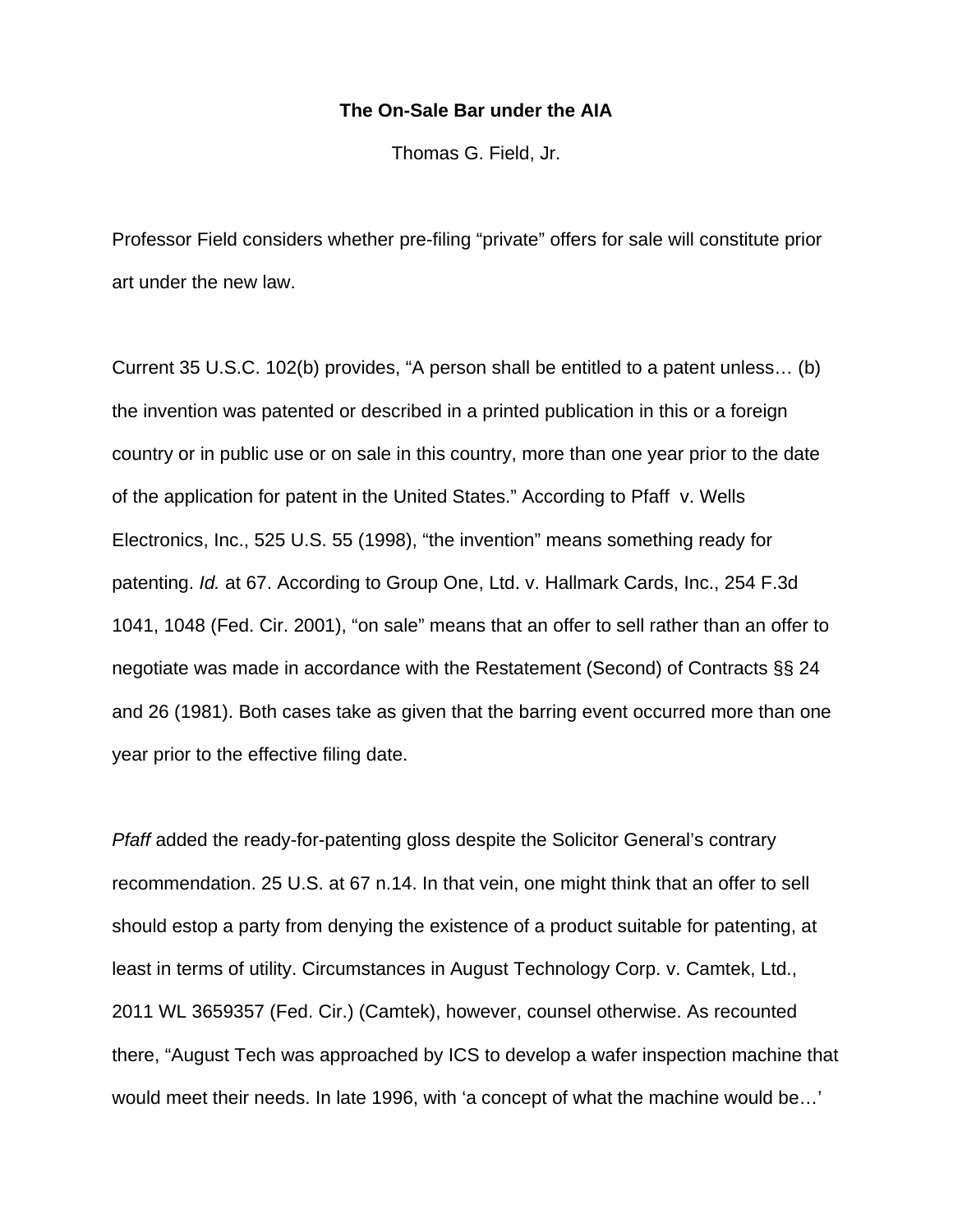## **The On-Sale Bar under the AIA**

Thomas G. Field, Jr.

Professor Field considers whether pre-filing "private" offers for sale will constitute prior art under the new law.

Current 35 U.S.C. 102(b) provides, "A person shall be entitled to a patent unless… (b) the invention was patented or described in a printed publication in this or a foreign country or in public use or on sale in this country, more than one year prior to the date of the application for patent in the United States." According to Pfaff v. Wells Electronics, Inc., 525 U.S. 55 (1998), "the invention" means something ready for patenting. *Id.* at 67. According to Group One, Ltd. v. Hallmark Cards, Inc., 254 F.3d 1041, 1048 (Fed. Cir. 2001), "on sale" means that an offer to sell rather than an offer to negotiate was made in accordance with the Restatement (Second) of Contracts §§ 24 and 26 (1981). Both cases take as given that the barring event occurred more than one year prior to the effective filing date.

*Pfaff* added the ready-for-patenting gloss despite the Solicitor General's contrary recommendation. 25 U.S. at 67 n.14. In that vein, one might think that an offer to sell should estop a party from denying the existence of a product suitable for patenting, at least in terms of utility. Circumstances in August Technology Corp. v. Camtek, Ltd., 2011 WL 3659357 (Fed. Cir.) (Camtek), however, counsel otherwise. As recounted there, "August Tech was approached by ICS to develop a wafer inspection machine that would meet their needs. In late 1996, with 'a concept of what the machine would be…'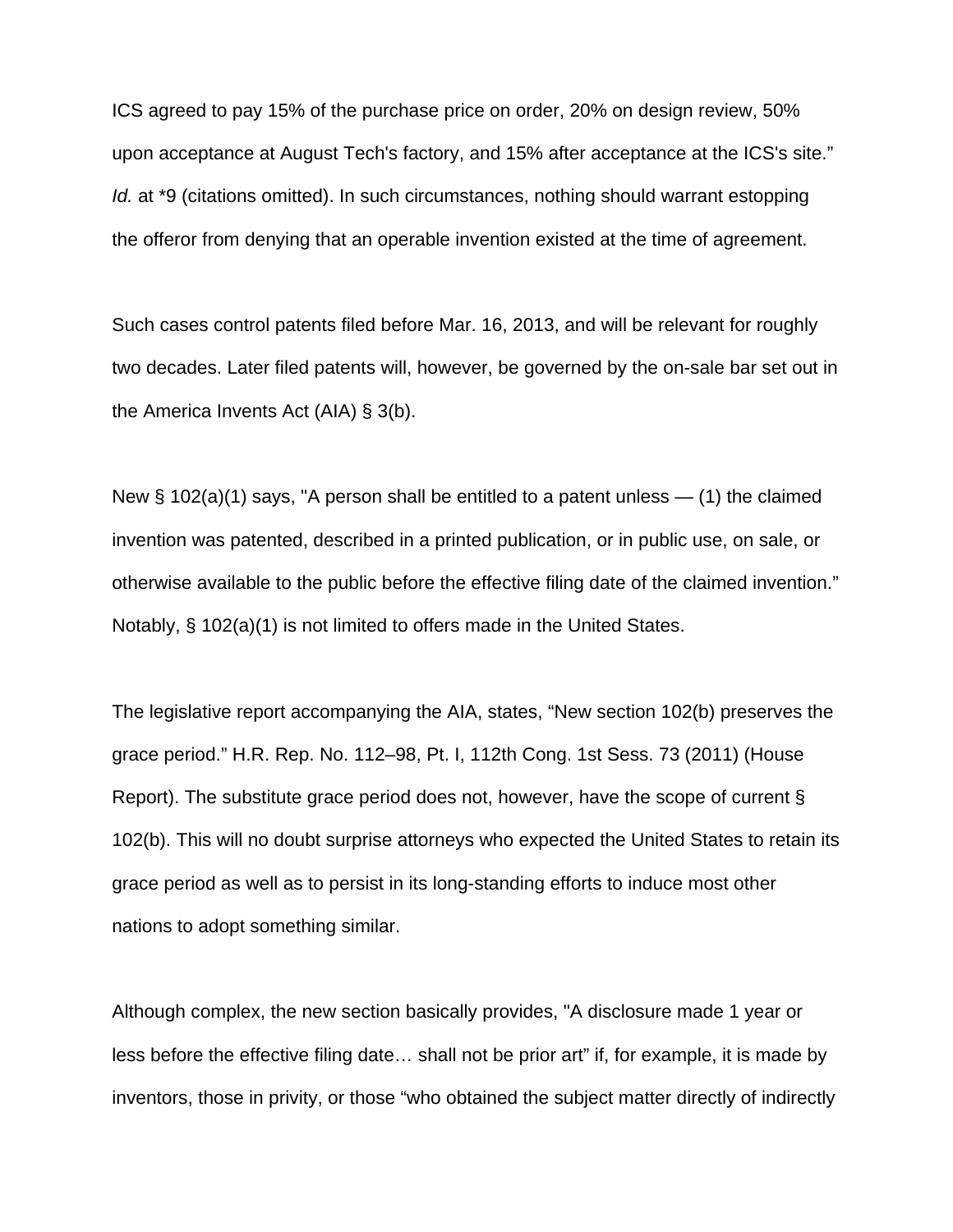ICS agreed to pay 15% of the purchase price on order, 20% on design review, 50% upon acceptance at August Tech's factory, and 15% after acceptance at the ICS's site." *Id.* at \*9 (citations omitted). In such circumstances, nothing should warrant estopping the offeror from denying that an operable invention existed at the time of agreement.

Such cases control patents filed before Mar. 16, 2013, and will be relevant for roughly two decades. Later filed patents will, however, be governed by the on-sale bar set out in the America Invents Act (AIA) § 3(b).

New  $\S$  102(a)(1) says, "A person shall be entitled to a patent unless  $-$  (1) the claimed invention was patented, described in a printed publication, or in public use, on sale, or otherwise available to the public before the effective filing date of the claimed invention." Notably, § 102(a)(1) is not limited to offers made in the United States.

The legislative report accompanying the AIA, states, "New section 102(b) preserves the grace period." H.R. Rep. No. 112–98, Pt. I, 112th Cong. 1st Sess. 73 (2011) (House Report). The substitute grace period does not, however, have the scope of current § 102(b). This will no doubt surprise attorneys who expected the United States to retain its grace period as well as to persist in its long-standing efforts to induce most other nations to adopt something similar.

Although complex, the new section basically provides, "A disclosure made 1 year or less before the effective filing date… shall not be prior art" if, for example, it is made by inventors, those in privity, or those "who obtained the subject matter directly of indirectly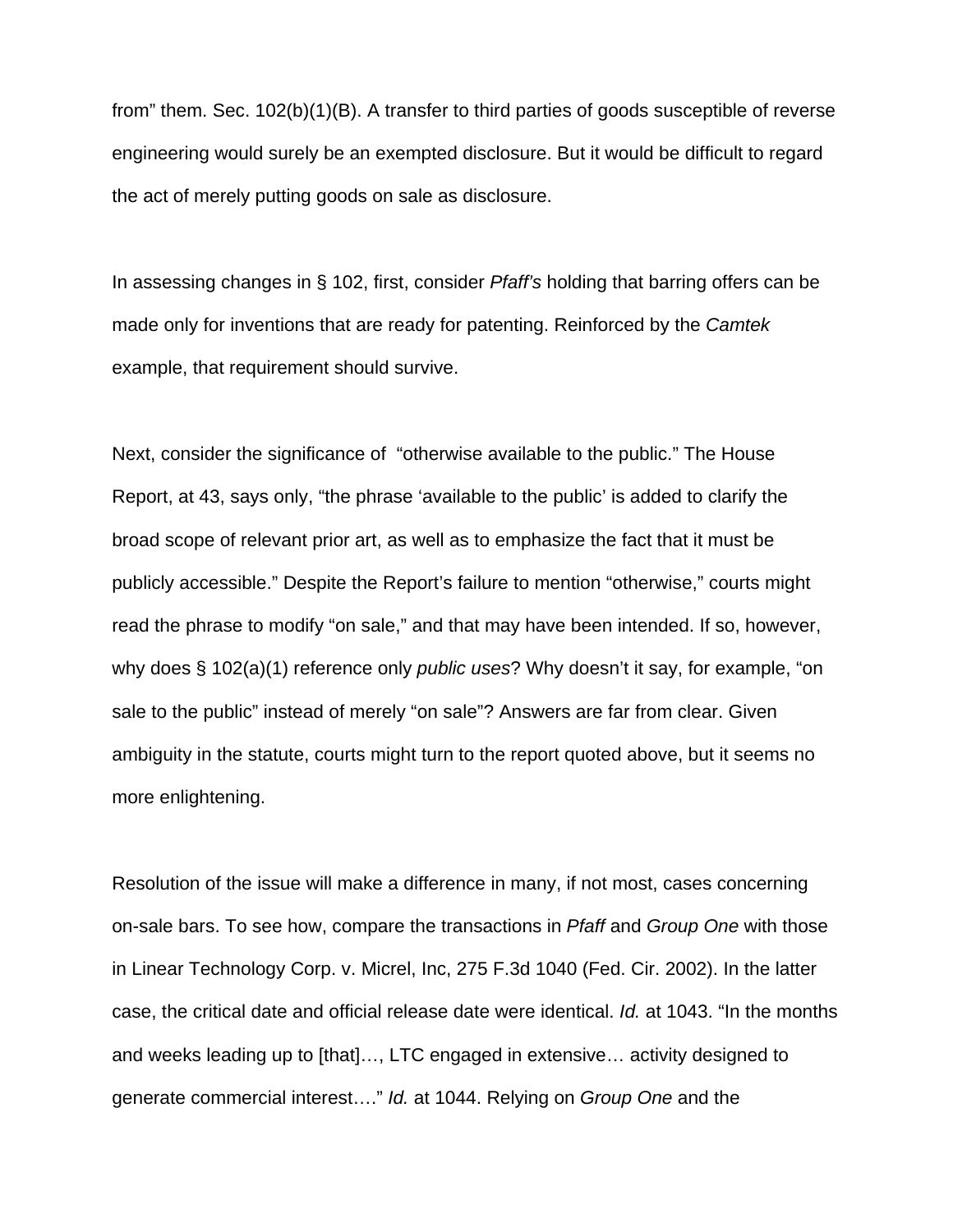from" them. Sec. 102(b)(1)(B). A transfer to third parties of goods susceptible of reverse engineering would surely be an exempted disclosure. But it would be difficult to regard the act of merely putting goods on sale as disclosure.

In assessing changes in § 102, first, consider *Pfaff's* holding that barring offers can be made only for inventions that are ready for patenting. Reinforced by the *Camtek* example, that requirement should survive.

Next, consider the significance of "otherwise available to the public." The House Report, at 43, says only, "the phrase 'available to the public' is added to clarify the broad scope of relevant prior art, as well as to emphasize the fact that it must be publicly accessible." Despite the Report's failure to mention "otherwise," courts might read the phrase to modify "on sale," and that may have been intended. If so, however, why does § 102(a)(1) reference only *public uses*? Why doesn't it say, for example, "on sale to the public" instead of merely "on sale"? Answers are far from clear. Given ambiguity in the statute, courts might turn to the report quoted above, but it seems no more enlightening.

Resolution of the issue will make a difference in many, if not most, cases concerning on-sale bars. To see how, compare the transactions in *Pfaff* and *Group One* with those in Linear Technology Corp. v. Micrel, Inc, 275 F.3d 1040 (Fed. Cir. 2002). In the latter case, the critical date and official release date were identical. *Id.* at 1043. "In the months and weeks leading up to [that]…, LTC engaged in extensive… activity designed to generate commercial interest…." *Id.* at 1044. Relying on *Group One* and the